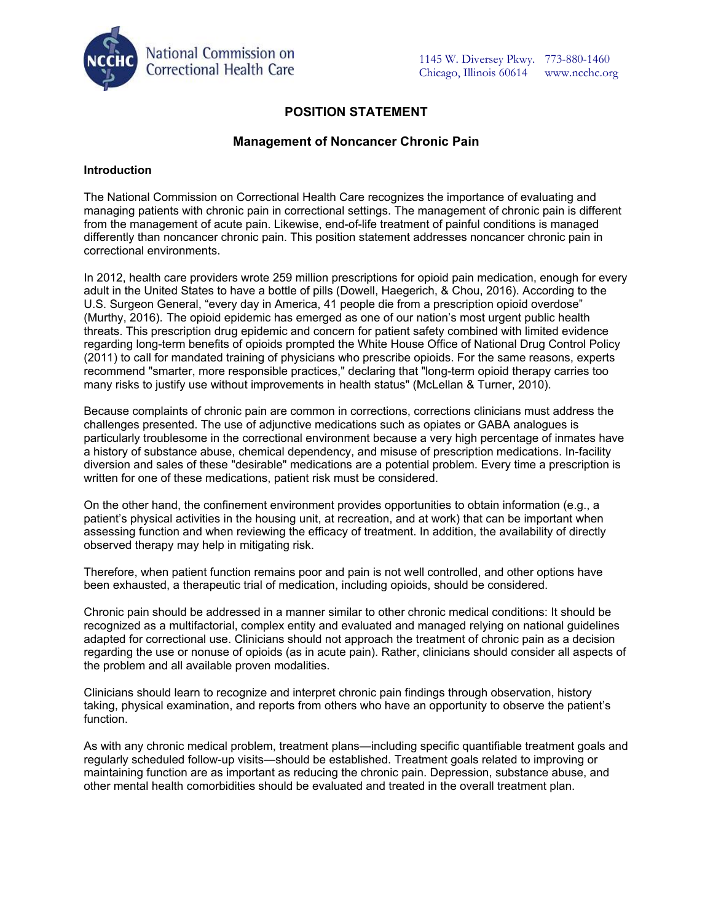

# **POSITION STATEMENT**

# **Management of Noncancer Chronic Pain**

### **Introduction**

The National Commission on Correctional Health Care recognizes the importance of evaluating and managing patients with chronic pain in correctional settings. The management of chronic pain is different from the management of acute pain. Likewise, end-of-life treatment of painful conditions is managed differently than noncancer chronic pain. This position statement addresses noncancer chronic pain in correctional environments.

In 2012, health care providers wrote 259 million prescriptions for opioid pain medication, enough for every adult in the United States to have a bottle of pills (Dowell, Haegerich, & Chou, 2016). According to the U.S. Surgeon General, "every day in America, 41 people die from a prescription opioid overdose" (Murthy, 2016). The opioid epidemic has emerged as one of our nation's most urgent public health threats. This prescription drug epidemic and concern for patient safety combined with limited evidence regarding long-term benefits of opioids prompted the White House Office of National Drug Control Policy (2011) to call for mandated training of physicians who prescribe opioids. For the same reasons, experts recommend "smarter, more responsible practices," declaring that "long-term opioid therapy carries too many risks to justify use without improvements in health status" (McLellan & Turner, 2010).

Because complaints of chronic pain are common in corrections, corrections clinicians must address the challenges presented. The use of adjunctive medications such as opiates or GABA analogues is particularly troublesome in the correctional environment because a very high percentage of inmates have a history of substance abuse, chemical dependency, and misuse of prescription medications. In-facility diversion and sales of these "desirable" medications are a potential problem. Every time a prescription is written for one of these medications, patient risk must be considered.

On the other hand, the confinement environment provides opportunities to obtain information (e.g., a patient's physical activities in the housing unit, at recreation, and at work) that can be important when assessing function and when reviewing the efficacy of treatment. In addition, the availability of directly observed therapy may help in mitigating risk.

Therefore, when patient function remains poor and pain is not well controlled, and other options have been exhausted, a therapeutic trial of medication, including opioids, should be considered.

Chronic pain should be addressed in a manner similar to other chronic medical conditions: It should be recognized as a multifactorial, complex entity and evaluated and managed relying on national guidelines adapted for correctional use. Clinicians should not approach the treatment of chronic pain as a decision regarding the use or nonuse of opioids (as in acute pain). Rather, clinicians should consider all aspects of the problem and all available proven modalities.

Clinicians should learn to recognize and interpret chronic pain findings through observation, history taking, physical examination, and reports from others who have an opportunity to observe the patient's function.

As with any chronic medical problem, treatment plans—including specific quantifiable treatment goals and regularly scheduled follow-up visits—should be established. Treatment goals related to improving or maintaining function are as important as reducing the chronic pain. Depression, substance abuse, and other mental health comorbidities should be evaluated and treated in the overall treatment plan.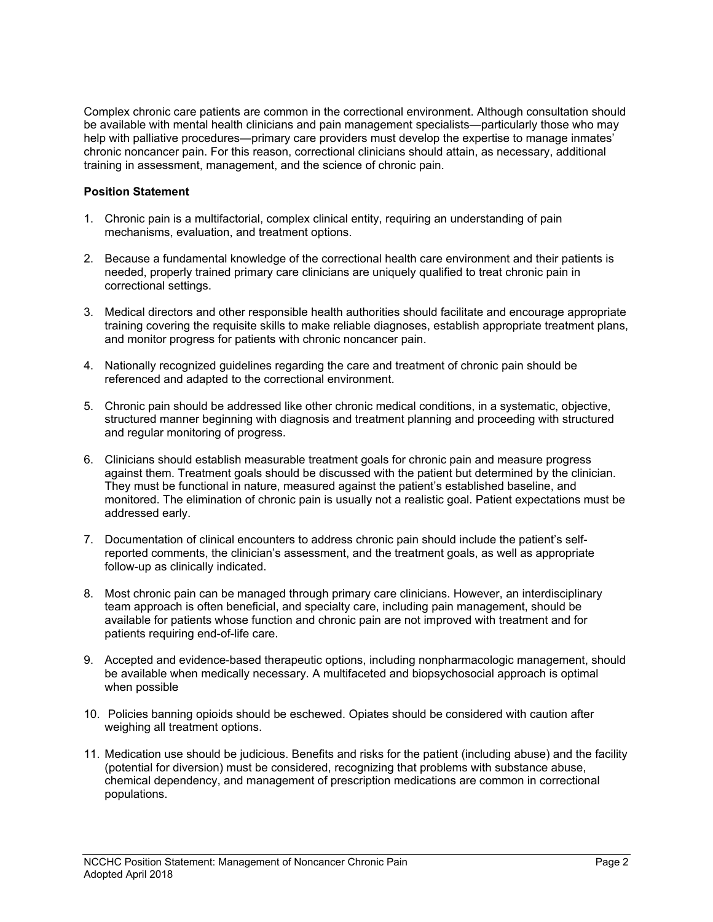Complex chronic care patients are common in the correctional environment. Although consultation should be available with mental health clinicians and pain management specialists—particularly those who may help with palliative procedures—primary care providers must develop the expertise to manage inmates' chronic noncancer pain. For this reason, correctional clinicians should attain, as necessary, additional training in assessment, management, and the science of chronic pain.

# **Position Statement**

- 1. Chronic pain is a multifactorial, complex clinical entity, requiring an understanding of pain mechanisms, evaluation, and treatment options.
- 2. Because a fundamental knowledge of the correctional health care environment and their patients is needed, properly trained primary care clinicians are uniquely qualified to treat chronic pain in correctional settings.
- 3. Medical directors and other responsible health authorities should facilitate and encourage appropriate training covering the requisite skills to make reliable diagnoses, establish appropriate treatment plans, and monitor progress for patients with chronic noncancer pain.
- 4. Nationally recognized guidelines regarding the care and treatment of chronic pain should be referenced and adapted to the correctional environment.
- 5. Chronic pain should be addressed like other chronic medical conditions, in a systematic, objective, structured manner beginning with diagnosis and treatment planning and proceeding with structured and regular monitoring of progress.
- 6. Clinicians should establish measurable treatment goals for chronic pain and measure progress against them. Treatment goals should be discussed with the patient but determined by the clinician. They must be functional in nature, measured against the patient's established baseline, and monitored. The elimination of chronic pain is usually not a realistic goal. Patient expectations must be addressed early.
- 7. Documentation of clinical encounters to address chronic pain should include the patient's selfreported comments, the clinician's assessment, and the treatment goals, as well as appropriate follow-up as clinically indicated.
- 8. Most chronic pain can be managed through primary care clinicians. However, an interdisciplinary team approach is often beneficial, and specialty care, including pain management, should be available for patients whose function and chronic pain are not improved with treatment and for patients requiring end-of-life care.
- 9. Accepted and evidence-based therapeutic options, including nonpharmacologic management, should be available when medically necessary. A multifaceted and biopsychosocial approach is optimal when possible
- 10. Policies banning opioids should be eschewed. Opiates should be considered with caution after weighing all treatment options.
- 11. Medication use should be judicious. Benefits and risks for the patient (including abuse) and the facility (potential for diversion) must be considered, recognizing that problems with substance abuse, chemical dependency, and management of prescription medications are common in correctional populations.